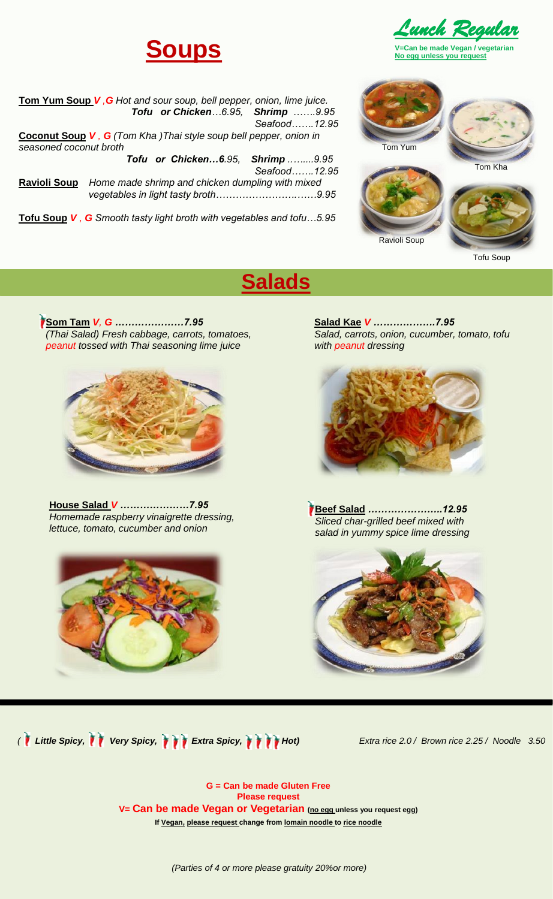



**V=Can be made Vegan / vegetarian No egg unless you request**

|                                                                   | <b>Tom Yum Soup V, G</b> Hot and sour soup, bell pepper, onion, lime juice. |                                  |              |  |  |
|-------------------------------------------------------------------|-----------------------------------------------------------------------------|----------------------------------|--------------|--|--|
|                                                                   |                                                                             | Tofu or Chicken6.95, Shrimp 9.95 |              |  |  |
|                                                                   |                                                                             |                                  | Seafood12.95 |  |  |
| Coconut Soup V, G (Tom Kha) Thai style soup bell pepper, onion in |                                                                             |                                  |              |  |  |
| seasoned coconut broth                                            |                                                                             |                                  |              |  |  |
|                                                                   |                                                                             | Tofu or Chicken6.95, Shrimp9.95  |              |  |  |
|                                                                   |                                                                             |                                  | Seafood12.95 |  |  |
| Home made shrimp and chicken dumpling with mixed<br>Ravioli Soup  |                                                                             |                                  |              |  |  |
|                                                                   |                                                                             |                                  |              |  |  |
|                                                                   |                                                                             |                                  |              |  |  |

**Tofu Soup** *V , G Smooth tasty light broth with vegetables and tofu…5.95*



Ravioli Soup

Tofu Soup

# **Som Tam** *V, G …………………7.95*

**Salads**



*(Thai Salad) Fresh cabbage, carrots, tomatoes, peanut tossed with Thai seasoning lime juice*

**House Salad** *V …………………7.95 Homemade raspberry vinaigrette dressing, lettuce, tomato, cucumber and onion*



**Salad Kae** *V ……………….7.95 Salad, carrots, onion, cucumber, tomato, tofu with peanut dressing*



**Beef Salad** *…………………..12.95 Sliced char-grilled beef mixed with salad in yummy spice lime dressing*



*( <i>Little Spicy, TVery Spicy, TVExtra Spicy, TVFHot)*  $H$ 

*Extra rice 2.0 / Brown rice 2.25 / Noodle 3.50*

**G = Can be made Gluten Free Please request V= Can be made Vegan or Vegetarian (no egg unless you request egg) If Vegan, please request change from lomain noodle to rice noodle** 

*(Parties of 4 or more please gratuity 20%or more)*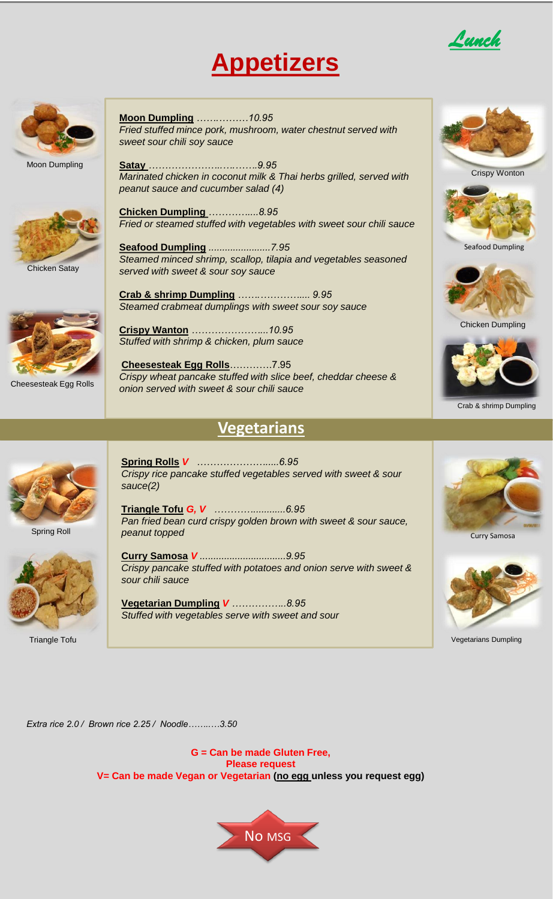## **Appetizers**





Moon Dumpling



Chicken Satay



Cheesesteak Egg Rolls

**Moon Dumpling** *…….………10.95 Fried stuffed mince pork, mushroom, water chestnut served with sweet sour chili soy sauce*

**Satay** *…………………..….…….9.95 Marinated chicken in coconut milk & Thai herbs grilled, served with peanut sauce and cucumber salad (4)*

**Chicken Dumpling** *…………....8.95 Fried or steamed stuffed with vegetables with sweet sour chili sauce*

**Seafood Dumpling** *.......................7.95 Steamed minced shrimp, scallop, tilapia and vegetables seasoned served with sweet & sour soy sauce*

**Crab & shrimp Dumpling** *…….………….... 9.95 Steamed crabmeat dumplings with sweet sour soy sauce*

**Crispy Wanton** *…………………...10.95 Stuffed with shrimp & chicken, plum sauce*

**Cheesesteak Egg Rolls**………….7.95 *Crispy wheat pancake stuffed with slice beef, cheddar cheese & onion served with sweet & sour chili sauce*

### **Vegetarians**



Spring Roll



Triangle Tofu

**Spring Rolls** *V ………………….....6.95 Crispy rice pancake stuffed vegetables served with sweet & sour sauce(2)*

**Triangle Tofu** *G, V …………............6.95 Pan fried bean curd crispy golden brown with sweet & sour sauce, peanut topped*

**Curry Samosa** *V ................................9.95 Crispy pancake stuffed with potatoes and onion serve with sweet & sour chili sauce*

**Vegetarian Dumpling** *V ……………..8.95 Stuffed with vegetables serve with sweet and sour*



Crispy Wonton







Crab & shrimp Dumpling





Vegetarians Dumpling

*Extra rice 2.0 / Brown rice 2.25 / Noodle……..…3.50*

**G = Can be made Gluten Free, Please request V= Can be made Vegan or Vegetarian (no egg unless you request egg)** 



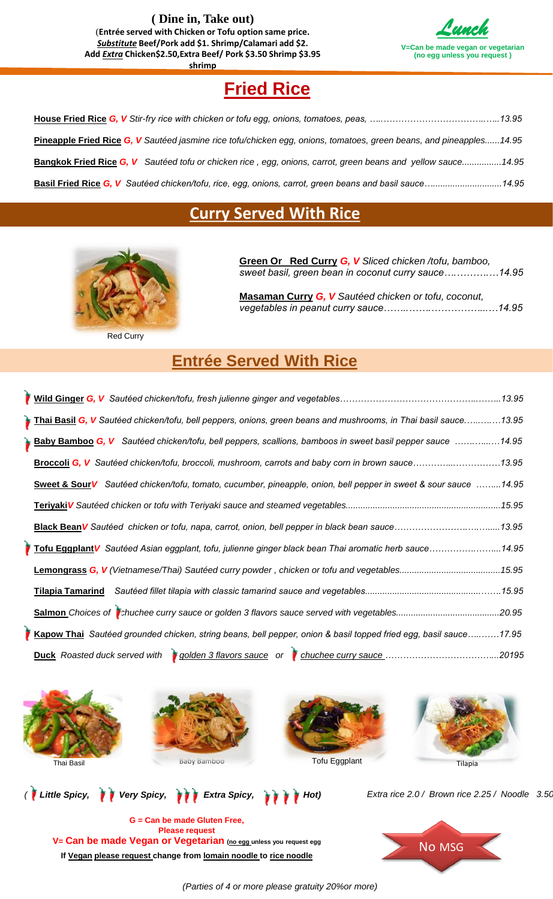**( Dine in, Take out)** (**Entrée served with Chicken or Tofu option same price.**  *Substitute* **Beef/Pork add \$1. Shrimp/Calamari add \$2. Add** *Extra* **Chicken\$2.50,Extra Beef/ Pork \$3.50 Shrimp \$3.95 shrimp**



### **Fried Rice**

| Pineapple Fried Rice G, V Sautéed jasmine rice tofu/chicken egg, onions, tomatoes, green beans, and pineapples14.95 |  |
|---------------------------------------------------------------------------------------------------------------------|--|
| <b>Bangkok Fried Rice G, V</b> Sautéed tofu or chicken rice, egg, onions, carrot, green beans and yellow sauce14.95 |  |
| <b>Basil Fried Rice G, V</b> Sautéed chicken/tofu, rice, egg, onions, carrot, green beans and basil sauce14.95      |  |

#### **Curry Served With Rice**



Red Curry

**Green Or Red Curry** *G, V Sliced chicken /tofu, bamboo, sweet basil, green bean in coconut curry sauce….……….…14.95*

**Masaman Curry** *G, V Sautéed chicken or tofu, coconut, vegetables in peanut curry sauce……..…….……………...…14.95*

#### **Entrée Served With Rice**

| Thai Basil G, V Sautéed chicken/tofu, bell peppers, onions, green beans and mushrooms, in Thai basil sauce13.95  |  |
|------------------------------------------------------------------------------------------------------------------|--|
| <b>Baby Bamboo G, V</b> Sautéed chicken/tofu, bell peppers, scallions, bamboos in sweet basil pepper sauce 14.95 |  |
| Broccoli G, V Sautéed chicken/tofu, broccoli, mushroom, carrots and baby corn in brown sauce13.95                |  |
| Sweet & Sour V Sautéed chicken/tofu, tomato, cucumber, pineapple, onion, bell pepper in sweet & sour sauce 14.95 |  |
|                                                                                                                  |  |
|                                                                                                                  |  |
| Tofu Eggplant V Sautéed Asian eggplant, tofu, julienne ginger black bean Thai aromatic herb sauce14.95           |  |
|                                                                                                                  |  |
|                                                                                                                  |  |
|                                                                                                                  |  |
| Kapow Thai Sautéed grounded chicken, string beans, bell pepper, onion & basil topped fried egg, basil sauce17.95 |  |
|                                                                                                                  |  |









*Extra rice 2.0 / Brown rice 2.25 / Noodle 3.50*

**G = Can be made Gluten Free, Please request V= Can be made Vegan or Vegetarian (no egg unless you request egg** *(<i>I* Little Spicy, *i Very Spicy, i i Extra Spicy, i i i Hot*)

**If Vegan please request change from lomain noodle to rice noodle**